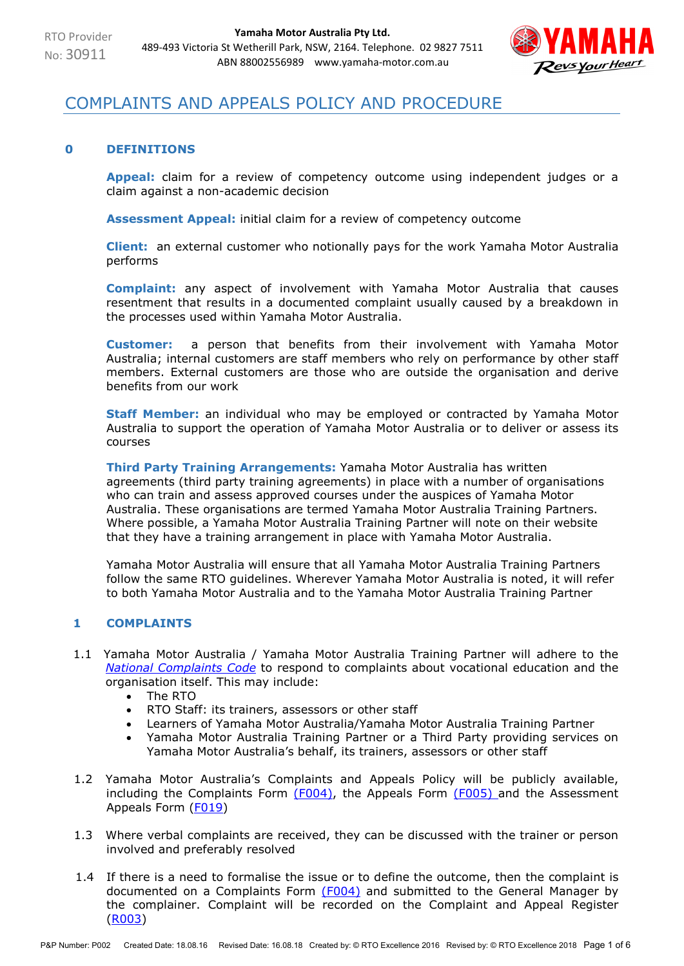

# COMPLAINTS AND APPEALS POLICY AND PROCEDURE

## **0 DEFINITIONS**

**Appeal:** claim for a review of competency outcome using independent judges or a claim against a non-academic decision

**Assessment Appeal:** initial claim for a review of competency outcome

**Client:** an external customer who notionally pays for the work Yamaha Motor Australia performs

**Complaint:** any aspect of involvement with Yamaha Motor Australia that causes resentment that results in a documented complaint usually caused by a breakdown in the processes used within Yamaha Motor Australia.

**Customer:** a person that benefits from their involvement with Yamaha Motor Australia; internal customers are staff members who rely on performance by other staff members. External customers are those who are outside the organisation and derive benefits from our work

**Staff Member:** an individual who may be employed or contracted by Yamaha Motor Australia to support the operation of Yamaha Motor Australia or to deliver or assess its courses

**Third Party Training Arrangements:** Yamaha Motor Australia has written agreements (third party training agreements) in place with a number of organisations who can train and assess approved courses under the auspices of Yamaha Motor Australia. These organisations are termed Yamaha Motor Australia Training Partners. Where possible, a Yamaha Motor Australia Training Partner will note on their website that they have a training arrangement in place with Yamaha Motor Australia.

Yamaha Motor Australia will ensure that all Yamaha Motor Australia Training Partners follow the same RTO guidelines. Wherever Yamaha Motor Australia is noted, it will refer to both Yamaha Motor Australia and to the Yamaha Motor Australia Training Partner

## **1 COMPLAINTS**

- 1.1 Yamaha Motor Australia / Yamaha Motor Australia Training Partner will adhere to the *[National Complaints Code](https://internationaleducation.gov.au/Regulatory-Information/Documents/National%20Code%202018%20Factsheets/Standard%2010.pdf)* to respond to complaints about vocational education and the organisation itself. This may include:
	- The RTO
	- RTO Staff: its trainers, assessors or other staff
	- Learners of Yamaha Motor Australia/Yamaha Motor Australia Training Partner
	- Yamaha Motor Australia Training Partner or a Third Party providing services on Yamaha Motor Australia's behalf, its trainers, assessors or other staff
- 1.2 Yamaha Motor Australia's Complaints and Appeals Policy will be publicly available, including the Complaints Form  $(F004)$ , the Appeals Form  $(F005)$  and the Assessment Appeals Form (F019)
- 1.3 Where verbal complaints are received, they can be discussed with the trainer or person involved and preferably resolved
- 1.4 If there is a need to formalise the issue or to define the outcome, then the complaint is documented on a Complaints Form (F004) and submitted to the General Manager by the complainer. Complaint will be recorded on the Complaint and Appeal Register (R003)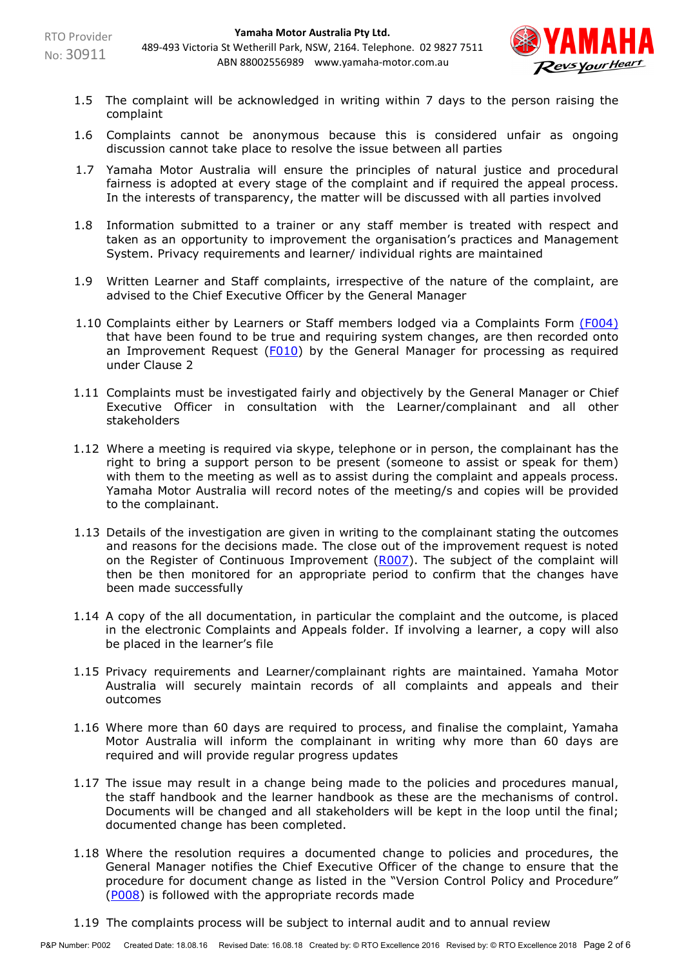

- 1.5 The complaint will be acknowledged in writing within 7 days to the person raising the complaint
- 1.6 Complaints cannot be anonymous because this is considered unfair as ongoing discussion cannot take place to resolve the issue between all parties
- 1.7 Yamaha Motor Australia will ensure the principles of natural justice and procedural fairness is adopted at every stage of the complaint and if required the appeal process. In the interests of transparency, the matter will be discussed with all parties involved
- 1.8 Information submitted to a trainer or any staff member is treated with respect and taken as an opportunity to improvement the organisation's practices and Management System. Privacy requirements and learner/ individual rights are maintained
- 1.9 Written Learner and Staff complaints, irrespective of the nature of the complaint, are advised to the Chief Executive Officer by the General Manager
- 1.10 Complaints either by Learners or Staff members lodged via a Complaints Form (F004) that have been found to be true and requiring system changes, are then recorded onto an Improvement Request  $(F010)$  by the General Manager for processing as required under Clause 2
- 1.11 Complaints must be investigated fairly and objectively by the General Manager or Chief Executive Officer in consultation with the Learner/complainant and all other stakeholders
- 1.12 Where a meeting is required via skype, telephone or in person, the complainant has the right to bring a support person to be present (someone to assist or speak for them) with them to the meeting as well as to assist during the complaint and appeals process. Yamaha Motor Australia will record notes of the meeting/s and copies will be provided to the complainant.
- 1.13 Details of the investigation are given in writing to the complainant stating the outcomes and reasons for the decisions made. The close out of the improvement request is noted on the Register of Continuous Improvement (R007). The subject of the complaint will then be then monitored for an appropriate period to confirm that the changes have been made successfully
- 1.14 A copy of the all documentation, in particular the complaint and the outcome, is placed in the electronic Complaints and Appeals folder. If involving a learner, a copy will also be placed in the learner's file
- 1.15 Privacy requirements and Learner/complainant rights are maintained. Yamaha Motor Australia will securely maintain records of all complaints and appeals and their outcomes
- 1.16 Where more than 60 days are required to process, and finalise the complaint, Yamaha Motor Australia will inform the complainant in writing why more than 60 days are required and will provide regular progress updates
- 1.17 The issue may result in a change being made to the policies and procedures manual, the staff handbook and the learner handbook as these are the mechanisms of control. Documents will be changed and all stakeholders will be kept in the loop until the final; documented change has been completed.
- 1.18 Where the resolution requires a documented change to policies and procedures, the General Manager notifies the Chief Executive Officer of the change to ensure that the procedure for document change as listed in the "Version Control Policy and Procedure" (P008) is followed with the appropriate records made
- 1.19 The complaints process will be subject to internal audit and to annual review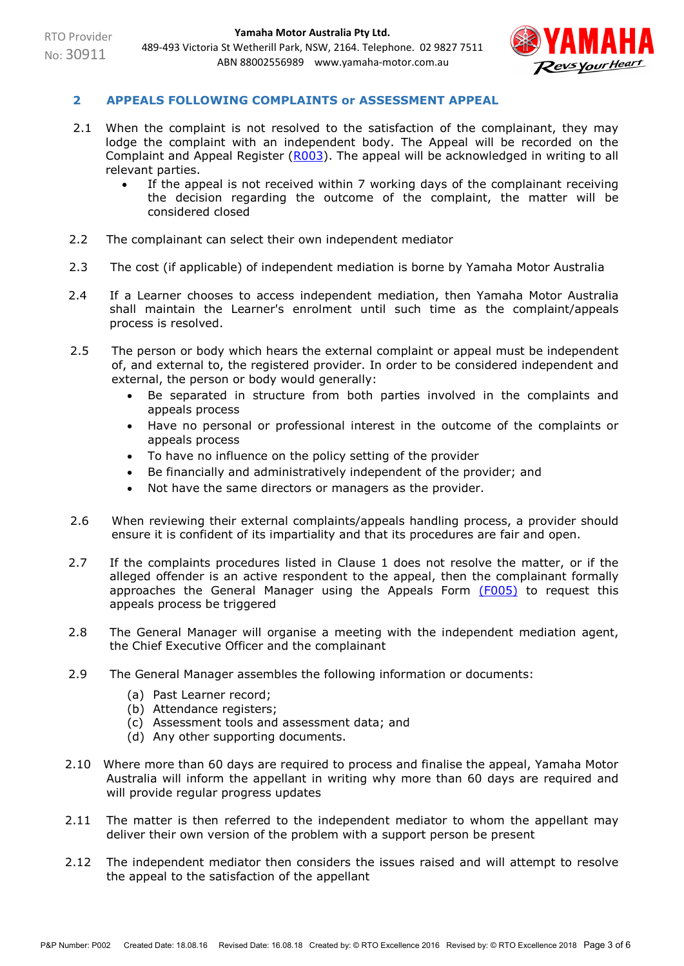

## **2 APPEALS FOLLOWING COMPLAINTS or ASSESSMENT APPEAL**

- 2.1 When the complaint is not resolved to the satisfaction of the complainant, they may lodge the complaint with an independent body. The Appeal will be recorded on the Complaint and Appeal Register (R003). The appeal will be acknowledged in writing to all relevant parties.
	- If the appeal is not received within 7 working days of the complainant receiving the decision regarding the outcome of the complaint, the matter will be considered closed
- 2.2 The complainant can select their own independent mediator
- 2.3 The cost (if applicable) of independent mediation is borne by Yamaha Motor Australia
- 2.4 If a Learner chooses to access independent mediation, then Yamaha Motor Australia shall maintain the Learner's enrolment until such time as the complaint/appeals process is resolved.
- 2.5 The person or body which hears the external complaint or appeal must be independent of, and external to, the registered provider. In order to be considered independent and external, the person or body would generally:
	- Be separated in structure from both parties involved in the complaints and appeals process
	- Have no personal or professional interest in the outcome of the complaints or appeals process
	- To have no influence on the policy setting of the provider
	- Be financially and administratively independent of the provider; and
	- Not have the same directors or managers as the provider.
- 2.6 When reviewing their external complaints/appeals handling process, a provider should ensure it is confident of its impartiality and that its procedures are fair and open.
- 2.7 If the complaints procedures listed in Clause 1 does not resolve the matter, or if the alleged offender is an active respondent to the appeal, then the complainant formally approaches the General Manager using the Appeals Form  $(F005)$  to request this appeals process be triggered
- 2.8 The General Manager will organise a meeting with the independent mediation agent, the Chief Executive Officer and the complainant
- 2.9 The General Manager assembles the following information or documents:
	- (a) Past Learner record;
	- (b) Attendance registers;
	- (c) Assessment tools and assessment data; and
	- (d) Any other supporting documents.
- 2.10 Where more than 60 days are required to process and finalise the appeal, Yamaha Motor Australia will inform the appellant in writing why more than 60 days are required and will provide regular progress updates
- 2.11 The matter is then referred to the independent mediator to whom the appellant may deliver their own version of the problem with a support person be present
- 2.12 The independent mediator then considers the issues raised and will attempt to resolve the appeal to the satisfaction of the appellant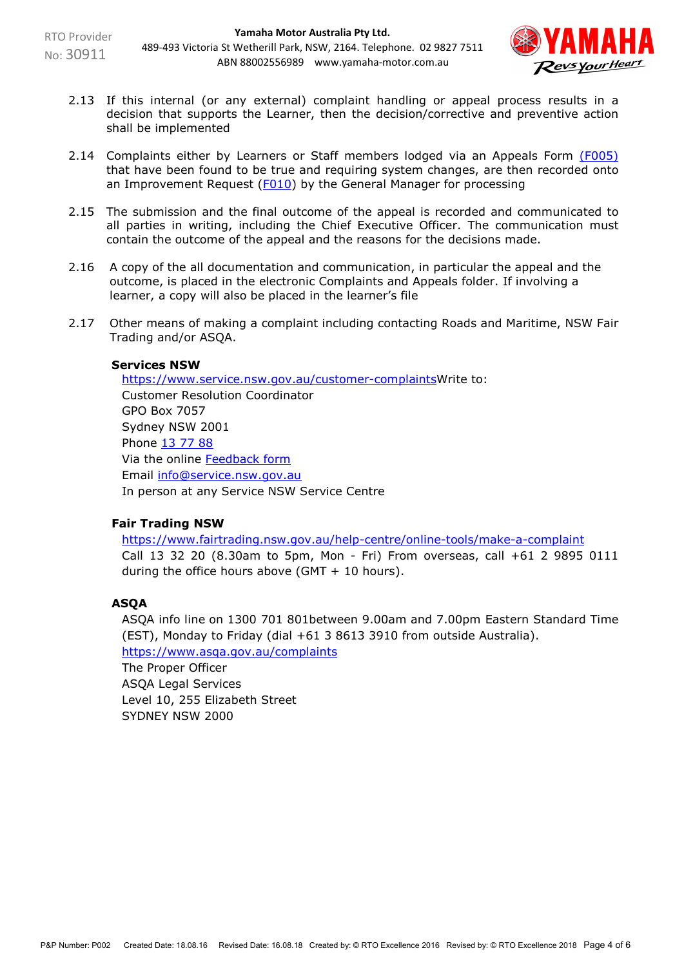

- 2.13 If this internal (or any external) complaint handling or appeal process results in a decision that supports the Learner, then the decision/corrective and preventive action shall be implemented
- 2.14 Complaints either by Learners or Staff members lodged via an Appeals Form (F005) that have been found to be true and requiring system changes, are then recorded onto an Improvement Request (F010) by the General Manager for processing
- 2.15 The submission and the final outcome of the appeal is recorded and communicated to all parties in writing, including the Chief Executive Officer. The communication must contain the outcome of the appeal and the reasons for the decisions made.
- 2.16 A copy of the all documentation and communication, in particular the appeal and the outcome, is placed in the electronic Complaints and Appeals folder. If involving a learner, a copy will also be placed in the learner's file
- 2.17 Other means of making a complaint including contacting Roads and Maritime, NSW Fair Trading and/or ASQA.

## **Services NSW**

[https://www.service.nsw.gov.au/customer-complaintsW](https://www.service.nsw.gov.au/customer-complaints)rite to: Customer Resolution Coordinator GPO Box 7057 Sydney NSW 2001 Phone [13 77 88](tel:137788) Via the online [Feedback form](https://www.service.nsw.gov.au/node/100) Email [info@service.nsw.gov.au](mailto:info@service.nsw.gov.au) In person at any Service NSW Service Centre

## **Fair Trading NSW**

<https://www.fairtrading.nsw.gov.au/help-centre/online-tools/make-a-complaint> Call 13 32 20 (8.30am to 5pm, Mon - Fri) From overseas, call +61 2 9895 0111 during the office hours above (GMT  $+$  10 hours).

## **ASQA**

ASQA info line on 1300 701 801between 9.00am and 7.00pm Eastern Standard Time (EST), Monday to Friday (dial +61 3 8613 3910 from outside Australia). <https://www.asqa.gov.au/complaints>

The Proper Officer ASQA Legal Services Level 10, 255 Elizabeth Street SYDNEY NSW 2000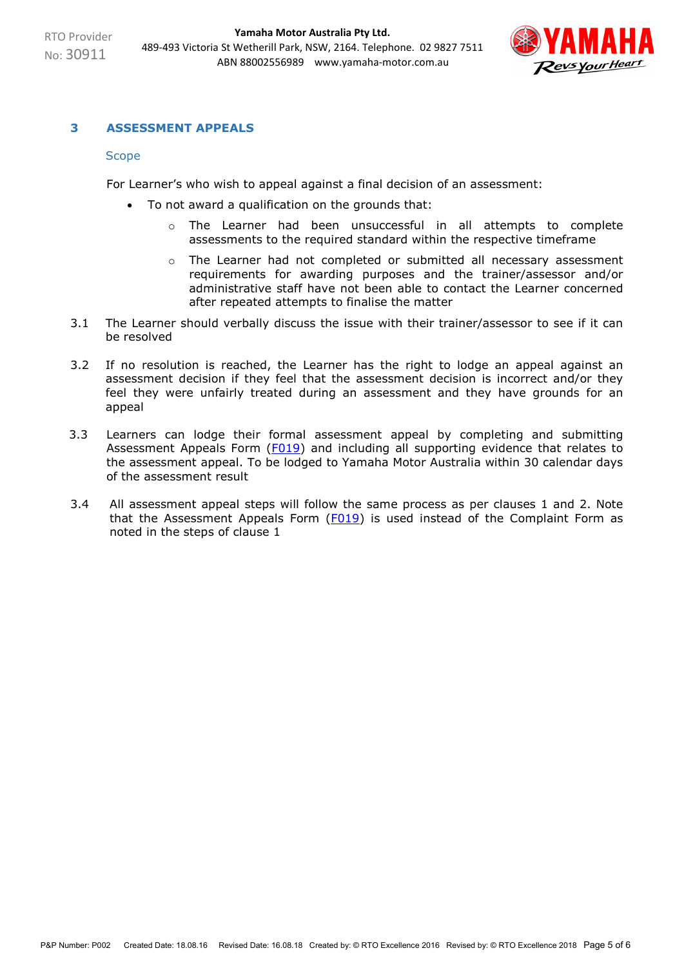

## **3 ASSESSMENT APPEALS**

#### **Scope**

For Learner's who wish to appeal against a final decision of an assessment:

- To not award a qualification on the grounds that:
	- o The Learner had been unsuccessful in all attempts to complete assessments to the required standard within the respective timeframe
	- $\circ$  The Learner had not completed or submitted all necessary assessment requirements for awarding purposes and the trainer/assessor and/or administrative staff have not been able to contact the Learner concerned after repeated attempts to finalise the matter
- 3.1 The Learner should verbally discuss the issue with their trainer/assessor to see if it can be resolved
- 3.2 If no resolution is reached, the Learner has the right to lodge an appeal against an assessment decision if they feel that the assessment decision is incorrect and/or they feel they were unfairly treated during an assessment and they have grounds for an appeal
- 3.3 Learners can lodge their formal assessment appeal by completing and submitting Assessment Appeals Form (F019) and including all supporting evidence that relates to the assessment appeal. To be lodged to Yamaha Motor Australia within 30 calendar days of the assessment result
- 3.4 All assessment appeal steps will follow the same process as per clauses 1 and 2. Note that the Assessment Appeals Form  $(F019)$  is used instead of the Complaint Form as noted in the steps of clause 1